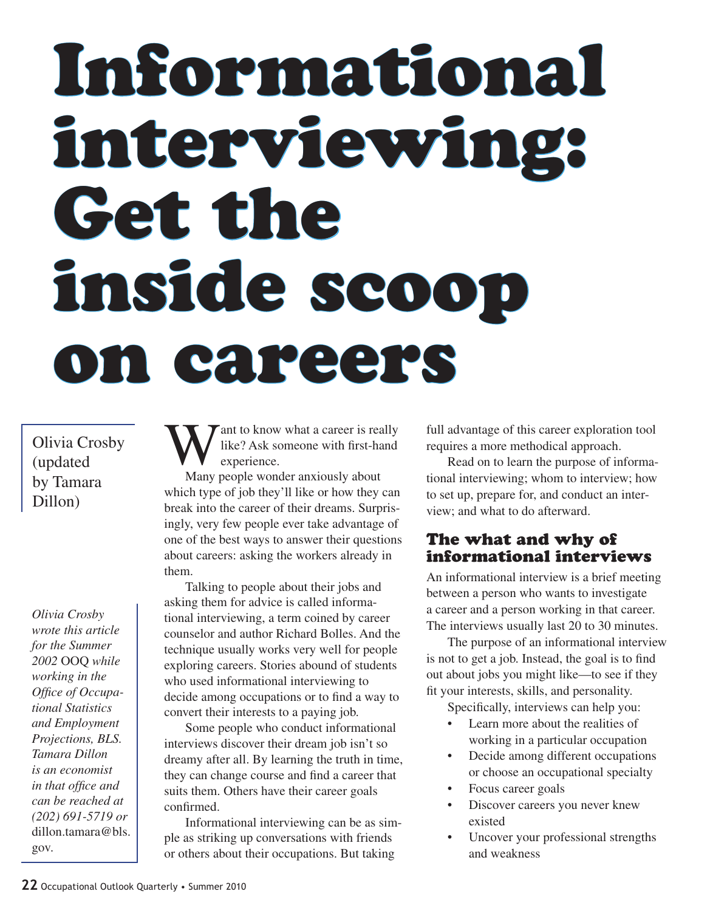# Informational interviewing: Get the inside scoop on careers

Olivia Crosby (updated by Tamara Dillon)

*Olivia Crosby wrote this article for the Summer 2002* OOQ *while working in the Office of Occupational Statistics and Employment Projections, BLS. Tamara Dillon is an economist in that office and can be reached at (202) 691-5719 or*  dillon.tamara@bls. gov*.*

Want to know what a career is really<br>experience. like? Ask someone with first-hand experience.

Many people wonder anxiously about which type of job they'll like or how they can break into the career of their dreams. Surprisingly, very few people ever take advantage of one of the best ways to answer their questions about careers: asking the workers already in them.

Talking to people about their jobs and asking them for advice is called informational interviewing, a term coined by career counselor and author Richard Bolles. And the technique usually works very well for people exploring careers. Stories abound of students who used informational interviewing to decide among occupations or to find a way to convert their interests to a paying job.

Some people who conduct informational interviews discover their dream job isn't so dreamy after all. By learning the truth in time, they can change course and find a career that suits them. Others have their career goals confirmed.

Informational interviewing can be as simple as striking up conversations with friends or others about their occupations. But taking

full advantage of this career exploration tool requires a more methodical approach.

Read on to learn the purpose of informational interviewing; whom to interview; how to set up, prepare for, and conduct an interview; and what to do afterward.

## The what and why of informational interviews

An informational interview is a brief meeting between a person who wants to investigate a career and a person working in that career. The interviews usually last 20 to 30 minutes.

The purpose of an informational interview is not to get a job. Instead, the goal is to find out about jobs you might like—to see if they fit your interests, skills, and personality.

Specifically, interviews can help you:

- Learn more about the realities of working in a particular occupation
- Decide among different occupations or choose an occupational specialty
- Focus career goals
- Discover careers you never knew existed
- • Uncover your professional strengths and weakness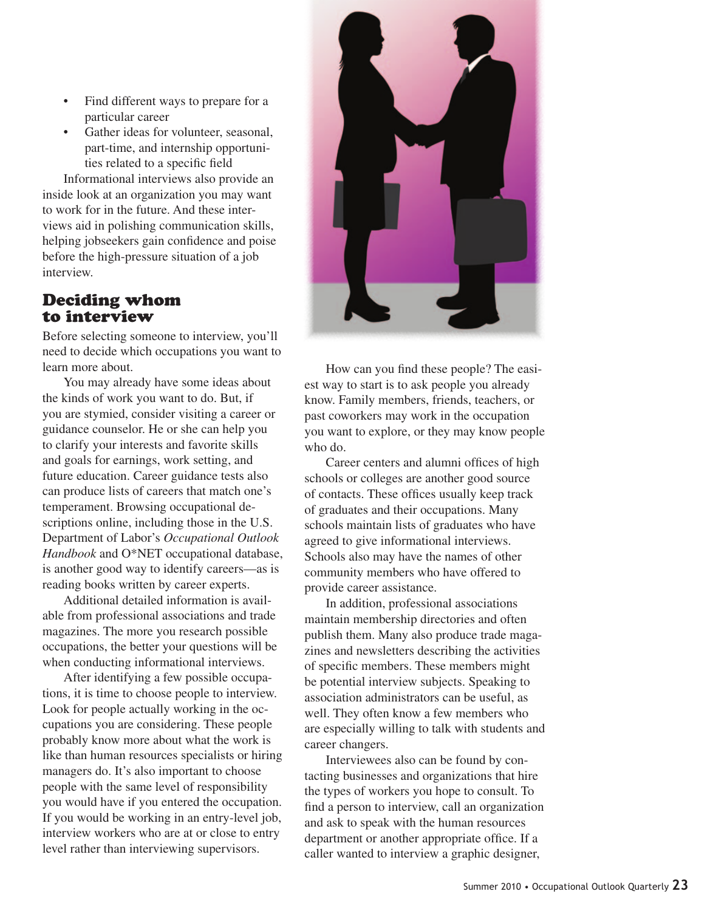- Find different ways to prepare for a particular career
- Gather ideas for volunteer, seasonal, part-time, and internship opportunities related to a specific field

Informational interviews also provide an inside look at an organization you may want to work for in the future. And these interviews aid in polishing communication skills, helping jobseekers gain confidence and poise before the high-pressure situation of a job interview.

## Deciding whom to interview

Before selecting someone to interview, you'll need to decide which occupations you want to learn more about.

You may already have some ideas about the kinds of work you want to do. But, if you are stymied, consider visiting a career or guidance counselor. He or she can help you to clarify your interests and favorite skills and goals for earnings, work setting, and future education. Career guidance tests also can produce lists of careers that match one's temperament. Browsing occupational descriptions online, including those in the U.S. Department of Labor's *Occupational Outlook Handbook* and O\*NET occupational database, is another good way to identify careers—as is reading books written by career experts.

Additional detailed information is available from professional associations and trade magazines. The more you research possible occupations, the better your questions will be when conducting informational interviews.

After identifying a few possible occupations, it is time to choose people to interview. Look for people actually working in the occupations you are considering. These people probably know more about what the work is like than human resources specialists or hiring managers do. It's also important to choose people with the same level of responsibility you would have if you entered the occupation. If you would be working in an entry-level job, interview workers who are at or close to entry level rather than interviewing supervisors.



How can you find these people? The easiest way to start is to ask people you already know. Family members, friends, teachers, or past coworkers may work in the occupation you want to explore, or they may know people who do.

Career centers and alumni offices of high schools or colleges are another good source of contacts. These offices usually keep track of graduates and their occupations. Many schools maintain lists of graduates who have agreed to give informational interviews. Schools also may have the names of other community members who have offered to provide career assistance.

In addition, professional associations maintain membership directories and often publish them. Many also produce trade magazines and newsletters describing the activities of specific members. These members might be potential interview subjects. Speaking to association administrators can be useful, as well. They often know a few members who are especially willing to talk with students and career changers.

Interviewees also can be found by contacting businesses and organizations that hire the types of workers you hope to consult. To find a person to interview, call an organization and ask to speak with the human resources department or another appropriate office. If a caller wanted to interview a graphic designer,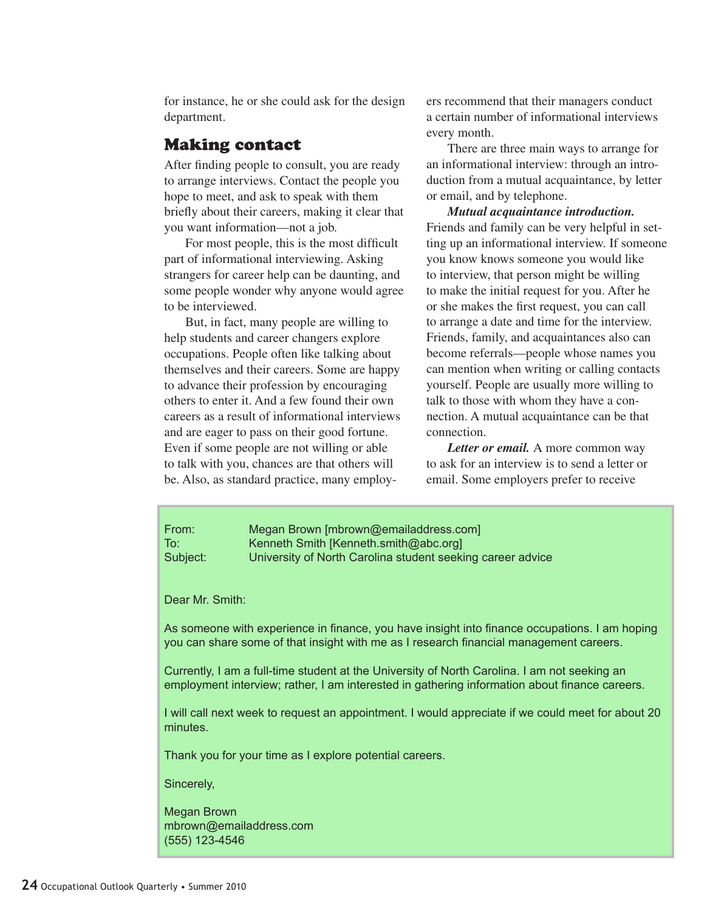for instance, he or she could ask for the design department.

#### Making contact

After finding people to consult, you are ready to arrange interviews. Contact the people you hope to meet, and ask to speak with them briefly about their careers, making it clear that you want information—not a job.

For most people, this is the most difficult part of informational interviewing. Asking strangers for career help can be daunting, and some people wonder why anyone would agree to be interviewed.

But, in fact, many people are willing to help students and career changers explore occupations. People often like talking about themselves and their careers. Some are happy to advance their profession by encouraging others to enter it. And a few found their own careers as a result of informational interviews and are eager to pass on their good fortune. Even if some people are not willing or able to talk with you, chances are that others will be. Also, as standard practice, many employers recommend that their managers conduct a certain number of informational interviews every month.

There are three main ways to arrange for an informational interview: through an introduction from a mutual acquaintance, by letter or email, and by telephone.

*Mutual acquaintance introduction.*  Friends and family can be very helpful in setting up an informational interview. If someone you know knows someone you would like to interview, that person might be willing to make the initial request for you. After he or she makes the first request, you can call to arrange a date and time for the interview. Friends, family, and acquaintances also can become referrals—people whose names you can mention when writing or calling contacts yourself. People are usually more willing to talk to those with whom they have a connection. A mutual acquaintance can be that connection.

*Letter or email.* A more common way to ask for an interview is to send a letter or email. Some employers prefer to receive

From: Megan Brown [mbrown@emailaddress.com] To: Kenneth Smith [Kenneth.smith@abc.org] Subject: University of North Carolina student seeking career advice

Dear Mr. Smith:

As someone with experience in finance, you have insight into finance occupations. I am hoping you can share some of that insight with me as I research financial management careers.

Currently, I am a full-time student at the University of North Carolina. I am not seeking an employment interview; rather, I am interested in gathering information about finance careers.

I will call next week to request an appointment. I would appreciate if we could meet for about 20 minutes.

Thank you for your time as I explore potential careers.

Sincerely,

Megan Brown mbrown@emailaddress.com (555) 123-4546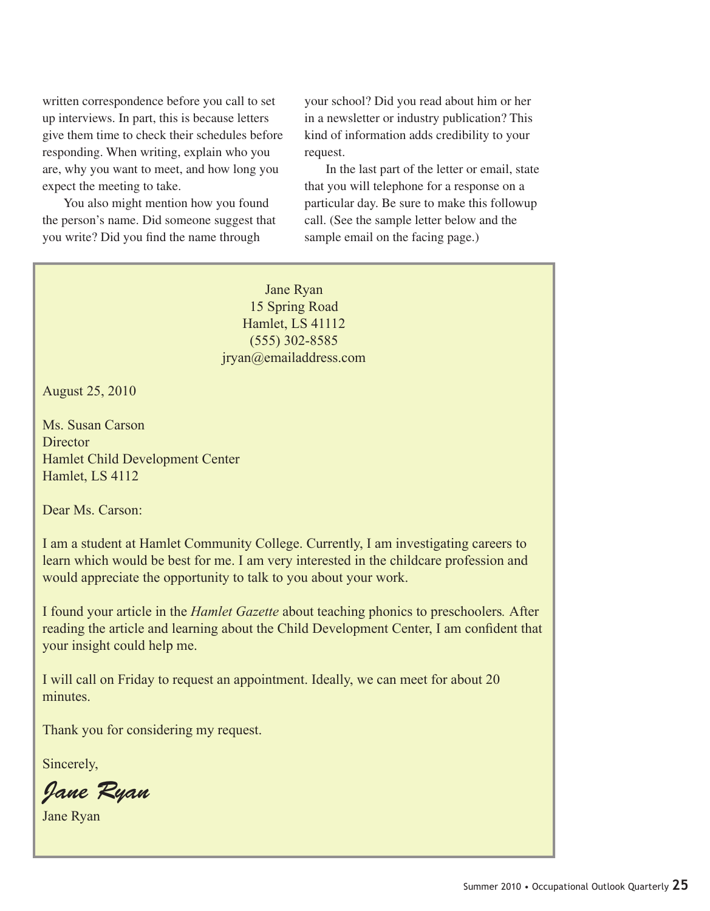written correspondence before you call to set up interviews. In part, this is because letters give them time to check their schedules before responding. When writing, explain who you are, why you want to meet, and how long you expect the meeting to take.

You also might mention how you found the person's name. Did someone suggest that you write? Did you find the name through

your school? Did you read about him or her in a newsletter or industry publication? This kind of information adds credibility to your request.

In the last part of the letter or email, state that you will telephone for a response on a particular day. Be sure to make this followup call. (See the sample letter below and the sample email on the facing page.)

Jane Ryan 15 Spring Road Hamlet, LS 41112 (555) 302-8585 jryan@emailaddress.com

August 25, 2010

Ms. Susan Carson **Director** Hamlet Child Development Center Hamlet, LS 4112

Dear Ms. Carson:

I am a student at Hamlet Community College. Currently, I am investigating careers to learn which would be best for me. I am very interested in the childcare profession and would appreciate the opportunity to talk to you about your work.

I found your article in the *Hamlet Gazette* about teaching phonics to preschoolers*.* After reading the article and learning about the Child Development Center, I am confident that your insight could help me.

I will call on Friday to request an appointment. Ideally, we can meet for about 20 minutes.

Thank you for considering my request.

Sincerely,

*Jane Ryan*

Jane Ryan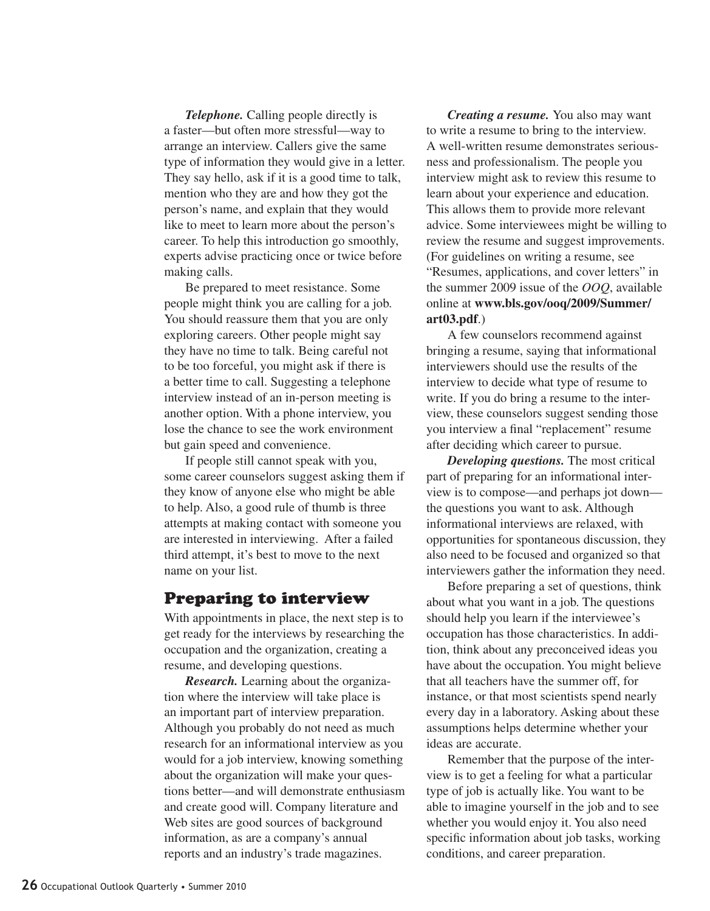*Telephone.* Calling people directly is a faster—but often more stressful—way to arrange an interview. Callers give the same type of information they would give in a letter. They say hello, ask if it is a good time to talk, mention who they are and how they got the person's name, and explain that they would like to meet to learn more about the person's career. To help this introduction go smoothly, experts advise practicing once or twice before making calls.

Be prepared to meet resistance. Some people might think you are calling for a job. You should reassure them that you are only exploring careers. Other people might say they have no time to talk. Being careful not to be too forceful, you might ask if there is a better time to call. Suggesting a telephone interview instead of an in-person meeting is another option. With a phone interview, you lose the chance to see the work environment but gain speed and convenience.

If people still cannot speak with you, some career counselors suggest asking them if they know of anyone else who might be able to help. Also, a good rule of thumb is three attempts at making contact with someone you are interested in interviewing. After a failed third attempt, it's best to move to the next name on your list.

#### Preparing to interview

With appointments in place, the next step is to get ready for the interviews by researching the occupation and the organization, creating a resume, and developing questions.

*Research.* Learning about the organization where the interview will take place is an important part of interview preparation. Although you probably do not need as much research for an informational interview as you would for a job interview, knowing something about the organization will make your questions better—and will demonstrate enthusiasm and create good will. Company literature and Web sites are good sources of background information, as are a company's annual reports and an industry's trade magazines.

*Creating a resume.* You also may want to write a resume to bring to the interview. A well-written resume demonstrates seriousness and professionalism. The people you interview might ask to review this resume to learn about your experience and education. This allows them to provide more relevant advice. Some interviewees might be willing to review the resume and suggest improvements. (For guidelines on writing a resume, see "Resumes, applications, and cover letters" in the summer 2009 issue of the *OOQ*, available online at **www.bls.gov/ooq/2009/Summer/ art03.pdf**.)

A few counselors recommend against bringing a resume, saying that informational interviewers should use the results of the interview to decide what type of resume to write. If you do bring a resume to the interview, these counselors suggest sending those you interview a final "replacement" resume after deciding which career to pursue.

*Developing questions.* The most critical part of preparing for an informational interview is to compose—and perhaps jot down the questions you want to ask. Although informational interviews are relaxed, with opportunities for spontaneous discussion, they also need to be focused and organized so that interviewers gather the information they need.

Before preparing a set of questions, think about what you want in a job. The questions should help you learn if the interviewee's occupation has those characteristics. In addition, think about any preconceived ideas you have about the occupation. You might believe that all teachers have the summer off, for instance, or that most scientists spend nearly every day in a laboratory. Asking about these assumptions helps determine whether your ideas are accurate.

Remember that the purpose of the interview is to get a feeling for what a particular type of job is actually like. You want to be able to imagine yourself in the job and to see whether you would enjoy it. You also need specific information about job tasks, working conditions, and career preparation.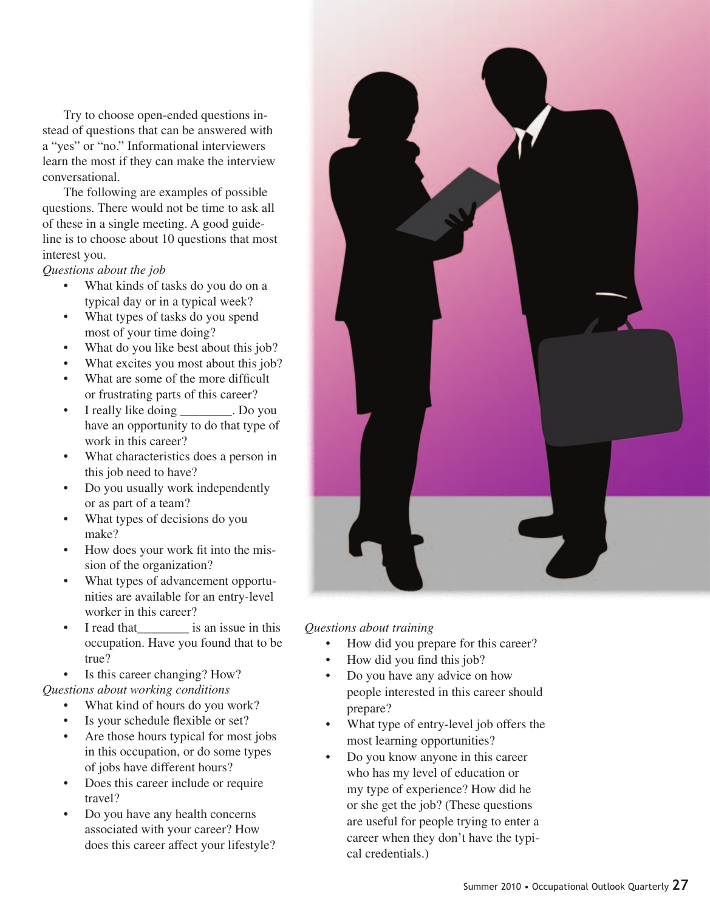Try to choose open-ended questions instead of questions that can be answered with a "yes" or "no." Informational interviewers learn the most if they can make the interview conversational.

The following are examples of possible questions. There would not be time to ask all of these in a single meeting. A good guideline is to choose about 10 questions that most interest you.

*Questions about the job*

- What kinds of tasks do you do on a typical day or in a typical week?
- What types of tasks do you spend most of your time doing?
- What do you like best about this job?
- What excites you most about this job?
- What are some of the more difficult or frustrating parts of this career?
- I really like doing \_\_\_\_\_\_\_\_. Do you have an opportunity to do that type of work in this career?
- What characteristics does a person in this job need to have?
- Do you usually work independently or as part of a team?
- What types of decisions do you make?
- How does your work fit into the mission of the organization?
- What types of advancement opportunities are available for an entry-level worker in this career?
- I read that is an issue in this occupation. Have you found that to be true?

Is this career changing? How?

*Questions about working conditions*

- What kind of hours do you work?
- Is your schedule flexible or set?
- Are those hours typical for most jobs in this occupation, or do some types of jobs have different hours?
- Does this career include or require travel?
- Do you have any health concerns associated with your career? How does this career affect your lifestyle?



*Questions about training*

- How did you prepare for this career?
- How did you find this job?
- Do you have any advice on how people interested in this career should prepare?
- What type of entry-level job offers the most learning opportunities?
- Do you know anyone in this career who has my level of education or my type of experience? How did he or she get the job? (These questions are useful for people trying to enter a career when they don't have the typical credentials.)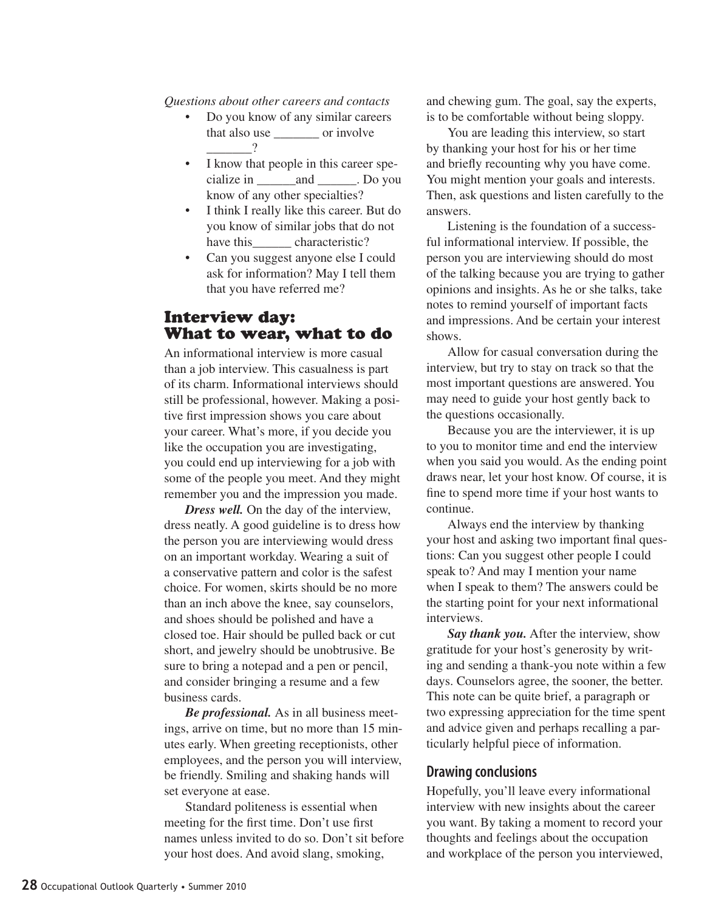*Questions about other careers and contacts*

- Do you know of any similar careers that also use or involve  $\gamma$
- I know that people in this career specialize in \_\_\_\_\_\_and \_\_\_\_\_\_. Do you know of any other specialties?
- I think I really like this career. But do you know of similar jobs that do not have this characteristic?
- Can you suggest anyone else I could ask for information? May I tell them that you have referred me?

### Interview day: What to wear, what to do

An informational interview is more casual than a job interview. This casualness is part of its charm. Informational interviews should still be professional, however. Making a positive first impression shows you care about your career. What's more, if you decide you like the occupation you are investigating, you could end up interviewing for a job with some of the people you meet. And they might remember you and the impression you made.

*Dress well.* On the day of the interview, dress neatly. A good guideline is to dress how the person you are interviewing would dress on an important workday. Wearing a suit of a conservative pattern and color is the safest choice. For women, skirts should be no more than an inch above the knee, say counselors, and shoes should be polished and have a closed toe. Hair should be pulled back or cut short, and jewelry should be unobtrusive. Be sure to bring a notepad and a pen or pencil, and consider bringing a resume and a few business cards.

*Be professional.* As in all business meetings, arrive on time, but no more than 15 minutes early. When greeting receptionists, other employees, and the person you will interview, be friendly. Smiling and shaking hands will set everyone at ease.

Standard politeness is essential when meeting for the first time. Don't use first names unless invited to do so. Don't sit before your host does. And avoid slang, smoking,

and chewing gum. The goal, say the experts, is to be comfortable without being sloppy.

You are leading this interview, so start by thanking your host for his or her time and briefly recounting why you have come. You might mention your goals and interests. Then, ask questions and listen carefully to the answers.

Listening is the foundation of a successful informational interview. If possible, the person you are interviewing should do most of the talking because you are trying to gather opinions and insights. As he or she talks, take notes to remind yourself of important facts and impressions. And be certain your interest shows.

Allow for casual conversation during the interview, but try to stay on track so that the most important questions are answered. You may need to guide your host gently back to the questions occasionally.

Because you are the interviewer, it is up to you to monitor time and end the interview when you said you would. As the ending point draws near, let your host know. Of course, it is fine to spend more time if your host wants to continue.

Always end the interview by thanking your host and asking two important final questions: Can you suggest other people I could speak to? And may I mention your name when I speak to them? The answers could be the starting point for your next informational interviews.

*Say thank you.* After the interview, show gratitude for your host's generosity by writing and sending a thank-you note within a few days. Counselors agree, the sooner, the better. This note can be quite brief, a paragraph or two expressing appreciation for the time spent and advice given and perhaps recalling a particularly helpful piece of information.

#### **Drawing conclusions**

Hopefully, you'll leave every informational interview with new insights about the career you want. By taking a moment to record your thoughts and feelings about the occupation and workplace of the person you interviewed,